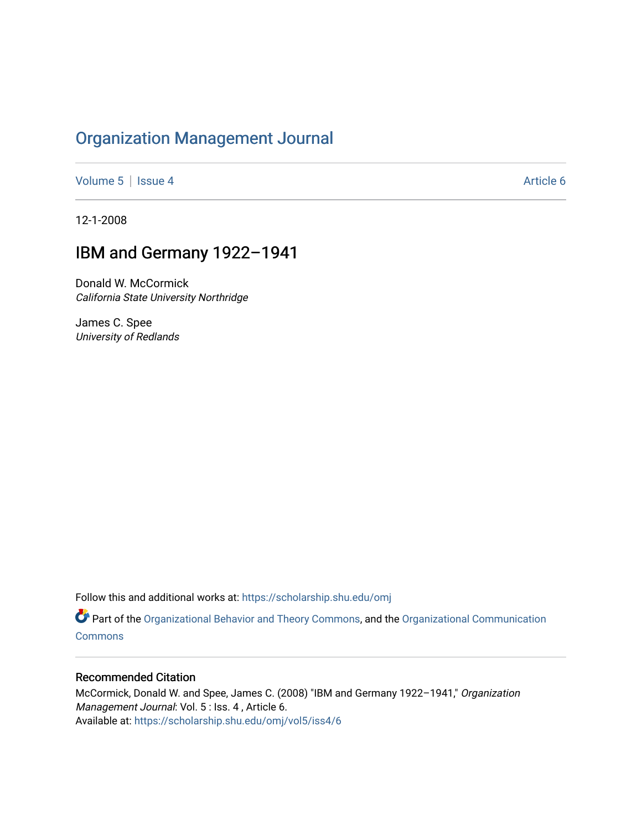# [Organization Management Journal](https://scholarship.shu.edu/omj)

[Volume 5](https://scholarship.shu.edu/omj/vol5) | [Issue 4](https://scholarship.shu.edu/omj/vol5/iss4) Article 6

12-1-2008

## IBM and Germany 1922–1941

Donald W. McCormick California State University Northridge

James C. Spee University of Redlands

Follow this and additional works at: [https://scholarship.shu.edu/omj](https://scholarship.shu.edu/omj?utm_source=scholarship.shu.edu%2Fomj%2Fvol5%2Fiss4%2F6&utm_medium=PDF&utm_campaign=PDFCoverPages) 

Part of the [Organizational Behavior and Theory Commons,](http://network.bepress.com/hgg/discipline/639?utm_source=scholarship.shu.edu%2Fomj%2Fvol5%2Fiss4%2F6&utm_medium=PDF&utm_campaign=PDFCoverPages) and the [Organizational Communication](http://network.bepress.com/hgg/discipline/335?utm_source=scholarship.shu.edu%2Fomj%2Fvol5%2Fiss4%2F6&utm_medium=PDF&utm_campaign=PDFCoverPages) **[Commons](http://network.bepress.com/hgg/discipline/335?utm_source=scholarship.shu.edu%2Fomj%2Fvol5%2Fiss4%2F6&utm_medium=PDF&utm_campaign=PDFCoverPages)** 

### Recommended Citation

McCormick, Donald W. and Spee, James C. (2008) "IBM and Germany 1922–1941," Organization Management Journal: Vol. 5 : Iss. 4, Article 6. Available at: [https://scholarship.shu.edu/omj/vol5/iss4/6](https://scholarship.shu.edu/omj/vol5/iss4/6?utm_source=scholarship.shu.edu%2Fomj%2Fvol5%2Fiss4%2F6&utm_medium=PDF&utm_campaign=PDFCoverPages)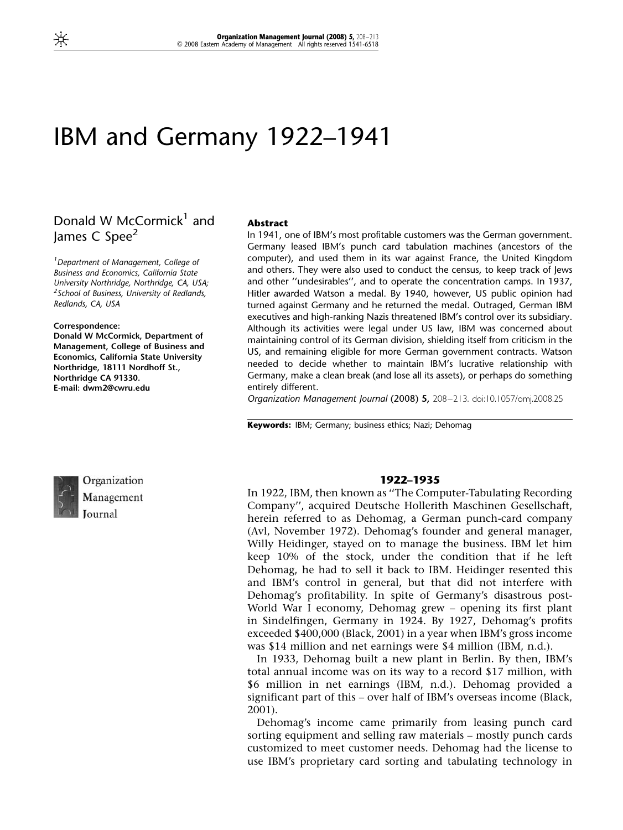# IBM and Germany 1922–1941

## Donald W McCormick<sup>1</sup> and lames C Spee<sup>2</sup>

<sup>1</sup> Department of Management, College of Business and Economics, California State University Northridge, Northridge, CA, USA; <sup>2</sup> School of Business, University of Redlands, Redlands, CA, USA

#### Correspondence:

Donald W McCormick, Department of Management, College of Business and Economics, California State University Northridge, 18111 Nordhoff St., Northridge CA 91330. E-mail: dwm2@cwru.edu

#### Abstract

In 1941, one of IBM's most profitable customers was the German government. Germany leased IBM's punch card tabulation machines (ancestors of the computer), and used them in its war against France, the United Kingdom and others. They were also used to conduct the census, to keep track of Jews and other ''undesirables'', and to operate the concentration camps. In 1937, Hitler awarded Watson a medal. By 1940, however, US public opinion had turned against Germany and he returned the medal. Outraged, German IBM executives and high-ranking Nazis threatened IBM's control over its subsidiary. Although its activities were legal under US law, IBM was concerned about maintaining control of its German division, shielding itself from criticism in the US, and remaining eligible for more German government contracts. Watson needed to decide whether to maintain IBM's lucrative relationship with Germany, make a clean break (and lose all its assets), or perhaps do something entirely different.

Organization Management Journal (2008) 5, 208–213. doi:10.1057/omj.2008.25

Keywords: IBM; Germany; business ethics; Nazi; Dehomag



Organization Management Journal

#### 1922–1935

In 1922, IBM, then known as ''The Computer-Tabulating Recording Company'', acquired Deutsche Hollerith Maschinen Gesellschaft, herein referred to as Dehomag, a German punch-card company (Avl, November 1972). Dehomag's founder and general manager, Willy Heidinger, stayed on to manage the business. IBM let him keep 10% of the stock, under the condition that if he left Dehomag, he had to sell it back to IBM. Heidinger resented this and IBM's control in general, but that did not interfere with Dehomag's profitability. In spite of Germany's disastrous post-World War I economy, Dehomag grew – opening its first plant in Sindelfingen, Germany in 1924. By 1927, Dehomag's profits exceeded \$400,000 (Black, 2001) in a year when IBM's gross income was \$14 million and net earnings were \$4 million (IBM, n.d.).

In 1933, Dehomag built a new plant in Berlin. By then, IBM's total annual income was on its way to a record \$17 million, with \$6 million in net earnings (IBM, n.d.). Dehomag provided a significant part of this – over half of IBM's overseas income (Black, 2001).

Dehomag's income came primarily from leasing punch card sorting equipment and selling raw materials – mostly punch cards customized to meet customer needs. Dehomag had the license to use IBM's proprietary card sorting and tabulating technology in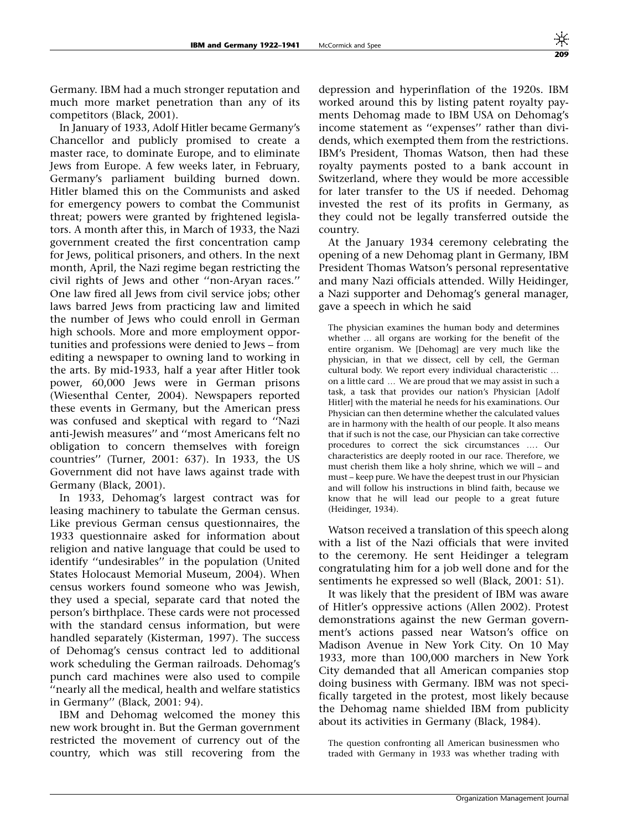Germany. IBM had a much stronger reputation and much more market penetration than any of its competitors (Black, 2001).

In January of 1933, Adolf Hitler became Germany's Chancellor and publicly promised to create a master race, to dominate Europe, and to eliminate Jews from Europe. A few weeks later, in February, Germany's parliament building burned down. Hitler blamed this on the Communists and asked for emergency powers to combat the Communist threat; powers were granted by frightened legislators. A month after this, in March of 1933, the Nazi government created the first concentration camp for Jews, political prisoners, and others. In the next month, April, the Nazi regime began restricting the civil rights of Jews and other ''non-Aryan races.'' One law fired all Jews from civil service jobs; other laws barred Jews from practicing law and limited the number of Jews who could enroll in German high schools. More and more employment opportunities and professions were denied to Jews – from editing a newspaper to owning land to working in the arts. By mid-1933, half a year after Hitler took power, 60,000 Jews were in German prisons (Wiesenthal Center, 2004). Newspapers reported these events in Germany, but the American press was confused and skeptical with regard to ''Nazi anti-Jewish measures'' and ''most Americans felt no obligation to concern themselves with foreign countries'' (Turner, 2001: 637). In 1933, the US Government did not have laws against trade with Germany (Black, 2001).

In 1933, Dehomag's largest contract was for leasing machinery to tabulate the German census. Like previous German census questionnaires, the 1933 questionnaire asked for information about religion and native language that could be used to identify ''undesirables'' in the population (United States Holocaust Memorial Museum, 2004). When census workers found someone who was Jewish, they used a special, separate card that noted the person's birthplace. These cards were not processed with the standard census information, but were handled separately (Kisterman, 1997). The success of Dehomag's census contract led to additional work scheduling the German railroads. Dehomag's punch card machines were also used to compile ''nearly all the medical, health and welfare statistics in Germany'' (Black, 2001: 94).

IBM and Dehomag welcomed the money this new work brought in. But the German government restricted the movement of currency out of the country, which was still recovering from the

depression and hyperinflation of the 1920s. IBM worked around this by listing patent royalty payments Dehomag made to IBM USA on Dehomag's income statement as ''expenses'' rather than dividends, which exempted them from the restrictions. IBM's President, Thomas Watson, then had these royalty payments posted to a bank account in Switzerland, where they would be more accessible for later transfer to the US if needed. Dehomag invested the rest of its profits in Germany, as they could not be legally transferred outside the country.

At the January 1934 ceremony celebrating the opening of a new Dehomag plant in Germany, IBM President Thomas Watson's personal representative and many Nazi officials attended. Willy Heidinger, a Nazi supporter and Dehomag's general manager, gave a speech in which he said

The physician examines the human body and determines whether ... all organs are working for the benefit of the entire organism. We [Dehomag] are very much like the physician, in that we dissect, cell by cell, the German cultural body. We report every individual characteristic ... on a little card ... We are proud that we may assist in such a task, a task that provides our nation's Physician [Adolf Hitler] with the material he needs for his examinations. Our Physician can then determine whether the calculated values are in harmony with the health of our people. It also means that if such is not the case, our Physician can take corrective procedures to correct the sick circumstances .... Our characteristics are deeply rooted in our race. Therefore, we must cherish them like a holy shrine, which we will – and must – keep pure. We have the deepest trust in our Physician and will follow his instructions in blind faith, because we know that he will lead our people to a great future (Heidinger, 1934).

Watson received a translation of this speech along with a list of the Nazi officials that were invited to the ceremony. He sent Heidinger a telegram congratulating him for a job well done and for the sentiments he expressed so well (Black, 2001: 51).

It was likely that the president of IBM was aware of Hitler's oppressive actions (Allen 2002). Protest demonstrations against the new German government's actions passed near Watson's office on Madison Avenue in New York City. On 10 May 1933, more than 100,000 marchers in New York City demanded that all American companies stop doing business with Germany. IBM was not specifically targeted in the protest, most likely because the Dehomag name shielded IBM from publicity about its activities in Germany (Black, 1984).

The question confronting all American businessmen who traded with Germany in 1933 was whether trading with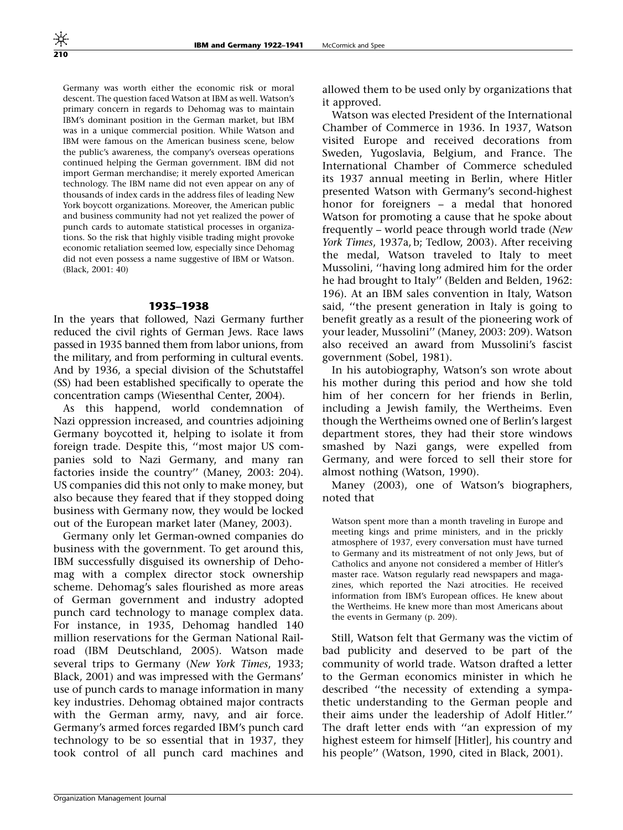Germany was worth either the economic risk or moral descent. The question faced Watson at IBM as well. Watson's primary concern in regards to Dehomag was to maintain IBM's dominant position in the German market, but IBM was in a unique commercial position. While Watson and IBM were famous on the American business scene, below the public's awareness, the company's overseas operations continued helping the German government. IBM did not import German merchandise; it merely exported American technology. The IBM name did not even appear on any of thousands of index cards in the address files of leading New York boycott organizations. Moreover, the American public and business community had not yet realized the power of punch cards to automate statistical processes in organizations. So the risk that highly visible trading might provoke economic retaliation seemed low, especially since Dehomag did not even possess a name suggestive of IBM or Watson. (Black, 2001: 40)

#### 1935–1938

In the years that followed, Nazi Germany further reduced the civil rights of German Jews. Race laws passed in 1935 banned them from labor unions, from the military, and from performing in cultural events. And by 1936, a special division of the Schutstaffel (SS) had been established specifically to operate the concentration camps (Wiesenthal Center, 2004).

As this happend, world condemnation of Nazi oppression increased, and countries adjoining Germany boycotted it, helping to isolate it from foreign trade. Despite this, ''most major US companies sold to Nazi Germany, and many ran factories inside the country'' (Maney, 2003: 204). US companies did this not only to make money, but also because they feared that if they stopped doing business with Germany now, they would be locked out of the European market later (Maney, 2003).

Germany only let German-owned companies do business with the government. To get around this, IBM successfully disguised its ownership of Dehomag with a complex director stock ownership scheme. Dehomag's sales flourished as more areas of German government and industry adopted punch card technology to manage complex data. For instance, in 1935, Dehomag handled 140 million reservations for the German National Railroad (IBM Deutschland, 2005). Watson made several trips to Germany (New York Times, 1933; Black, 2001) and was impressed with the Germans' use of punch cards to manage information in many key industries. Dehomag obtained major contracts with the German army, navy, and air force. Germany's armed forces regarded IBM's punch card technology to be so essential that in 1937, they took control of all punch card machines and allowed them to be used only by organizations that it approved.

Watson was elected President of the International Chamber of Commerce in 1936. In 1937, Watson visited Europe and received decorations from Sweden, Yugoslavia, Belgium, and France. The International Chamber of Commerce scheduled its 1937 annual meeting in Berlin, where Hitler presented Watson with Germany's second-highest honor for foreigners – a medal that honored Watson for promoting a cause that he spoke about frequently – world peace through world trade (New York Times, 1937a, b; Tedlow, 2003). After receiving the medal, Watson traveled to Italy to meet Mussolini, ''having long admired him for the order he had brought to Italy'' (Belden and Belden, 1962: 196). At an IBM sales convention in Italy, Watson said, ''the present generation in Italy is going to benefit greatly as a result of the pioneering work of your leader, Mussolini'' (Maney, 2003: 209). Watson also received an award from Mussolini's fascist government (Sobel, 1981).

In his autobiography, Watson's son wrote about his mother during this period and how she told him of her concern for her friends in Berlin, including a Jewish family, the Wertheims. Even though the Wertheims owned one of Berlin's largest department stores, they had their store windows smashed by Nazi gangs, were expelled from Germany, and were forced to sell their store for almost nothing (Watson, 1990).

Maney (2003), one of Watson's biographers, noted that

Watson spent more than a month traveling in Europe and meeting kings and prime ministers, and in the prickly atmosphere of 1937, every conversation must have turned to Germany and its mistreatment of not only Jews, but of Catholics and anyone not considered a member of Hitler's master race. Watson regularly read newspapers and magazines, which reported the Nazi atrocities. He received information from IBM's European offices. He knew about the Wertheims. He knew more than most Americans about the events in Germany (p. 209).

Still, Watson felt that Germany was the victim of bad publicity and deserved to be part of the community of world trade. Watson drafted a letter to the German economics minister in which he described ''the necessity of extending a sympathetic understanding to the German people and their aims under the leadership of Adolf Hitler.'' The draft letter ends with ''an expression of my highest esteem for himself [Hitler], his country and his people'' (Watson, 1990, cited in Black, 2001).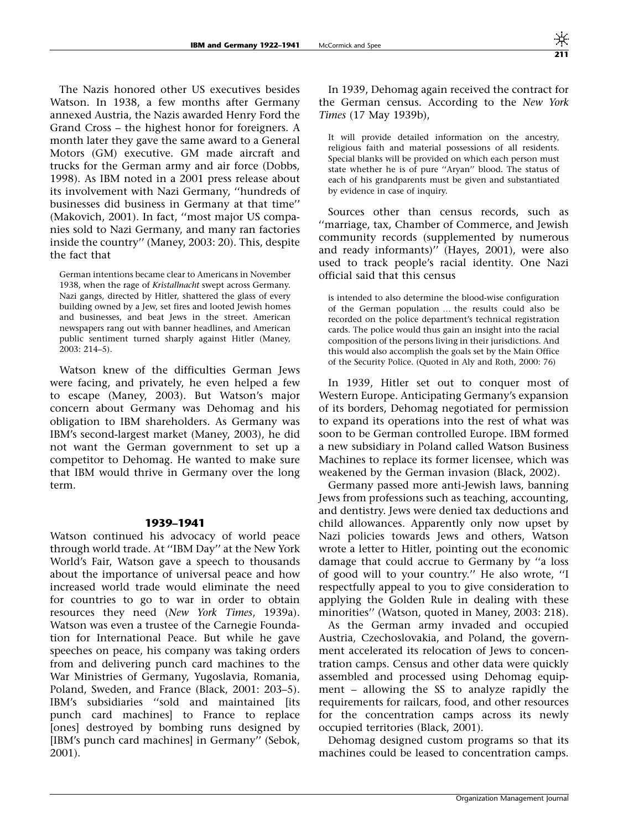The Nazis honored other US executives besides Watson. In 1938, a few months after Germany annexed Austria, the Nazis awarded Henry Ford the Grand Cross – the highest honor for foreigners. A month later they gave the same award to a General Motors (GM) executive. GM made aircraft and trucks for the German army and air force (Dobbs, 1998). As IBM noted in a 2001 press release about its involvement with Nazi Germany, ''hundreds of businesses did business in Germany at that time'' (Makovich, 2001). In fact, ''most major US companies sold to Nazi Germany, and many ran factories inside the country'' (Maney, 2003: 20). This, despite the fact that

German intentions became clear to Americans in November 1938, when the rage of Kristallnacht swept across Germany. Nazi gangs, directed by Hitler, shattered the glass of every building owned by a Jew, set fires and looted Jewish homes and businesses, and beat Jews in the street. American newspapers rang out with banner headlines, and American public sentiment turned sharply against Hitler (Maney, 2003: 214–5).

Watson knew of the difficulties German Jews were facing, and privately, he even helped a few to escape (Maney, 2003). But Watson's major concern about Germany was Dehomag and his obligation to IBM shareholders. As Germany was IBM's second-largest market (Maney, 2003), he did not want the German government to set up a competitor to Dehomag. He wanted to make sure that IBM would thrive in Germany over the long term.

#### 1939–1941

Watson continued his advocacy of world peace through world trade. At ''IBM Day'' at the New York World's Fair, Watson gave a speech to thousands about the importance of universal peace and how increased world trade would eliminate the need for countries to go to war in order to obtain resources they need (New York Times, 1939a). Watson was even a trustee of the Carnegie Foundation for International Peace. But while he gave speeches on peace, his company was taking orders from and delivering punch card machines to the War Ministries of Germany, Yugoslavia, Romania, Poland, Sweden, and France (Black, 2001: 203–5). IBM's subsidiaries "sold and maintained [its punch card machines] to France to replace [ones] destroyed by bombing runs designed by [IBM's punch card machines] in Germany'' (Sebok, 2001).

In 1939, Dehomag again received the contract for the German census. According to the New York Times (17 May 1939b),

It will provide detailed information on the ancestry, religious faith and material possessions of all residents. Special blanks will be provided on which each person must state whether he is of pure ''Aryan'' blood. The status of each of his grandparents must be given and substantiated by evidence in case of inquiry.

Sources other than census records, such as ''marriage, tax, Chamber of Commerce, and Jewish community records (supplemented by numerous and ready informants)'' (Hayes, 2001), were also used to track people's racial identity. One Nazi official said that this census

is intended to also determine the blood-wise configuration of the German population ... the results could also be recorded on the police department's technical registration cards. The police would thus gain an insight into the racial composition of the persons living in their jurisdictions. And this would also accomplish the goals set by the Main Office of the Security Police. (Quoted in Aly and Roth, 2000: 76)

In 1939, Hitler set out to conquer most of Western Europe. Anticipating Germany's expansion of its borders, Dehomag negotiated for permission to expand its operations into the rest of what was soon to be German controlled Europe. IBM formed a new subsidiary in Poland called Watson Business Machines to replace its former licensee, which was weakened by the German invasion (Black, 2002).

Germany passed more anti-Jewish laws, banning Jews from professions such as teaching, accounting, and dentistry. Jews were denied tax deductions and child allowances. Apparently only now upset by Nazi policies towards Jews and others, Watson wrote a letter to Hitler, pointing out the economic damage that could accrue to Germany by ''a loss of good will to your country.'' He also wrote, ''I respectfully appeal to you to give consideration to applying the Golden Rule in dealing with these minorities'' (Watson, quoted in Maney, 2003: 218).

As the German army invaded and occupied Austria, Czechoslovakia, and Poland, the government accelerated its relocation of Jews to concentration camps. Census and other data were quickly assembled and processed using Dehomag equipment – allowing the SS to analyze rapidly the requirements for railcars, food, and other resources for the concentration camps across its newly occupied territories (Black, 2001).

Dehomag designed custom programs so that its machines could be leased to concentration camps.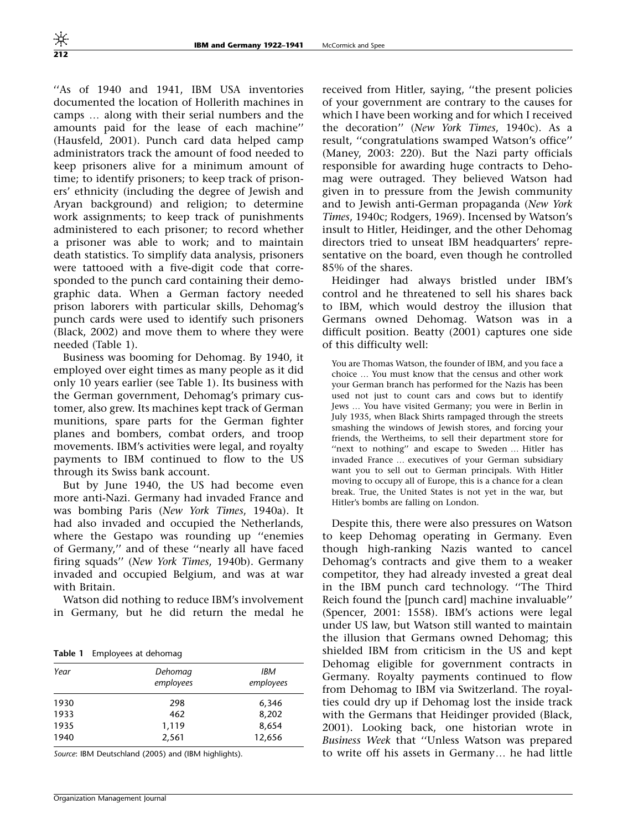''As of 1940 and 1941, IBM USA inventories documented the location of Hollerith machines in camps ... along with their serial numbers and the amounts paid for the lease of each machine'' (Hausfeld, 2001). Punch card data helped camp administrators track the amount of food needed to keep prisoners alive for a minimum amount of time; to identify prisoners; to keep track of prisoners' ethnicity (including the degree of Jewish and Aryan background) and religion; to determine work assignments; to keep track of punishments administered to each prisoner; to record whether a prisoner was able to work; and to maintain death statistics. To simplify data analysis, prisoners were tattooed with a five-digit code that corresponded to the punch card containing their demographic data. When a German factory needed prison laborers with particular skills, Dehomag's punch cards were used to identify such prisoners (Black, 2002) and move them to where they were needed (Table 1).

Business was booming for Dehomag. By 1940, it employed over eight times as many people as it did only 10 years earlier (see Table 1). Its business with the German government, Dehomag's primary customer, also grew. Its machines kept track of German munitions, spare parts for the German fighter planes and bombers, combat orders, and troop movements. IBM's activities were legal, and royalty payments to IBM continued to flow to the US through its Swiss bank account.

But by June 1940, the US had become even more anti-Nazi. Germany had invaded France and was bombing Paris (New York Times, 1940a). It had also invaded and occupied the Netherlands, where the Gestapo was rounding up ''enemies of Germany,'' and of these ''nearly all have faced firing squads'' (New York Times, 1940b). Germany invaded and occupied Belgium, and was at war with Britain.

Watson did nothing to reduce IBM's involvement in Germany, but he did return the medal he

Table 1 Employees at dehomag

| Year | Dehomag<br>employees | IBM<br>employees |
|------|----------------------|------------------|
| 1930 | 298                  | 6,346            |
| 1933 | 462                  | 8,202            |
| 1935 | 1,119                | 8,654            |
| 1940 | 2,561                | 12,656           |

Source: IBM Deutschland (2005) and (IBM highlights).

received from Hitler, saying, ''the present policies of your government are contrary to the causes for which I have been working and for which I received the decoration'' (New York Times, 1940c). As a result, ''congratulations swamped Watson's office'' (Maney, 2003: 220). But the Nazi party officials responsible for awarding huge contracts to Dehomag were outraged. They believed Watson had given in to pressure from the Jewish community and to Jewish anti-German propaganda (New York Times, 1940c; Rodgers, 1969). Incensed by Watson's insult to Hitler, Heidinger, and the other Dehomag directors tried to unseat IBM headquarters' representative on the board, even though he controlled 85% of the shares.

Heidinger had always bristled under IBM's control and he threatened to sell his shares back to IBM, which would destroy the illusion that Germans owned Dehomag. Watson was in a difficult position. Beatty (2001) captures one side of this difficulty well:

You are Thomas Watson, the founder of IBM, and you face a choice ... You must know that the census and other work your German branch has performed for the Nazis has been used not just to count cars and cows but to identify Jews ... You have visited Germany; you were in Berlin in July 1935, when Black Shirts rampaged through the streets smashing the windows of Jewish stores, and forcing your friends, the Wertheims, to sell their department store for "next to nothing" and escape to Sweden ... Hitler has invaded France ... executives of your German subsidiary want you to sell out to German principals. With Hitler moving to occupy all of Europe, this is a chance for a clean break. True, the United States is not yet in the war, but Hitler's bombs are falling on London.

Despite this, there were also pressures on Watson to keep Dehomag operating in Germany. Even though high-ranking Nazis wanted to cancel Dehomag's contracts and give them to a weaker competitor, they had already invested a great deal in the IBM punch card technology. ''The Third Reich found the [punch card] machine invaluable'' (Spencer, 2001: 1558). IBM's actions were legal under US law, but Watson still wanted to maintain the illusion that Germans owned Dehomag; this shielded IBM from criticism in the US and kept Dehomag eligible for government contracts in Germany. Royalty payments continued to flow from Dehomag to IBM via Switzerland. The royalties could dry up if Dehomag lost the inside track with the Germans that Heidinger provided (Black, 2001). Looking back, one historian wrote in Business Week that ''Unless Watson was prepared to write off his assets in Germany... he had little